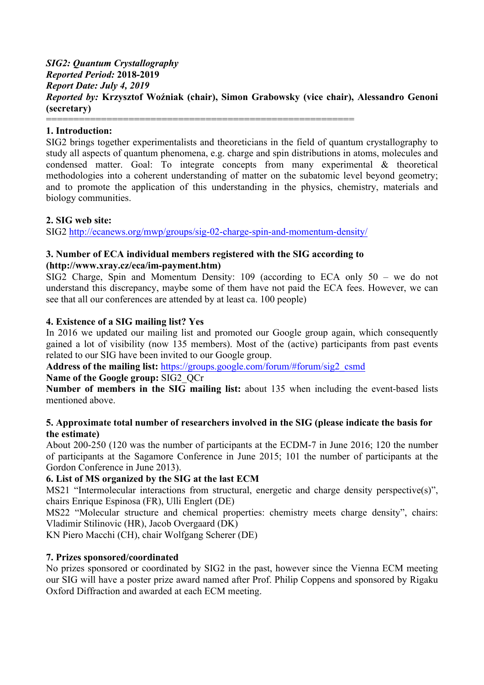### *SIG2: Quantum Crystallography Reported Period:* **2018-2019** *Report Date: July 4, 2019 Reported by:* **Krzysztof Woźniak (chair), Simon Grabowsky (vice chair), Alessandro Genoni (secretary)** ========================================================

## **1. Introduction:**

SIG2 brings together experimentalists and theoreticians in the field of quantum crystallography to study all aspects of quantum phenomena, e.g. charge and spin distributions in atoms, molecules and condensed matter. Goal: To integrate concepts from many experimental & theoretical methodologies into a coherent understanding of matter on the subatomic level beyond geometry; and to promote the application of this understanding in the physics, chemistry, materials and biology communities.

### **2. SIG web site:**

SIG2 http://ecanews.org/mwp/groups/sig-02-charge-spin-and-momentum-density/

### **3. Number of ECA individual members registered with the SIG according to (http://www.xray.cz/eca/im-payment.htm)**

SIG2 Charge, Spin and Momentum Density: 109 (according to ECA only 50 – we do not understand this discrepancy, maybe some of them have not paid the ECA fees. However, we can see that all our conferences are attended by at least ca. 100 people)

### **4. Existence of a SIG mailing list? Yes**

In 2016 we updated our mailing list and promoted our Google group again, which consequently gained a lot of visibility (now 135 members). Most of the (active) participants from past events related to our SIG have been invited to our Google group.

**Address of the mailing list:** https://groups.google.com/forum/#forum/sig2\_csmd

### **Name of the Google group:** SIG2\_QCr

**Number of members in the SIG mailing list:** about 135 when including the event-based lists mentioned above.

### **5. Approximate total number of researchers involved in the SIG (please indicate the basis for the estimate)**

About 200-250 (120 was the number of participants at the ECDM-7 in June 2016; 120 the number of participants at the Sagamore Conference in June 2015; 101 the number of participants at the Gordon Conference in June 2013).

## **6. List of MS organized by the SIG at the last ECM**

MS21 "Intermolecular interactions from structural, energetic and charge density perspective(s)", chairs Enrique Espinosa (FR), Ulli Englert (DE)

MS22 "Molecular structure and chemical properties: chemistry meets charge density", chairs: Vladimir Stilinovic (HR), Jacob Overgaard (DK)

KN Piero Macchi (CH), chair Wolfgang Scherer (DE)

## **7. Prizes sponsored/coordinated**

No prizes sponsored or coordinated by SIG2 in the past, however since the Vienna ECM meeting our SIG will have a poster prize award named after Prof. Philip Coppens and sponsored by Rigaku Oxford Diffraction and awarded at each ECM meeting.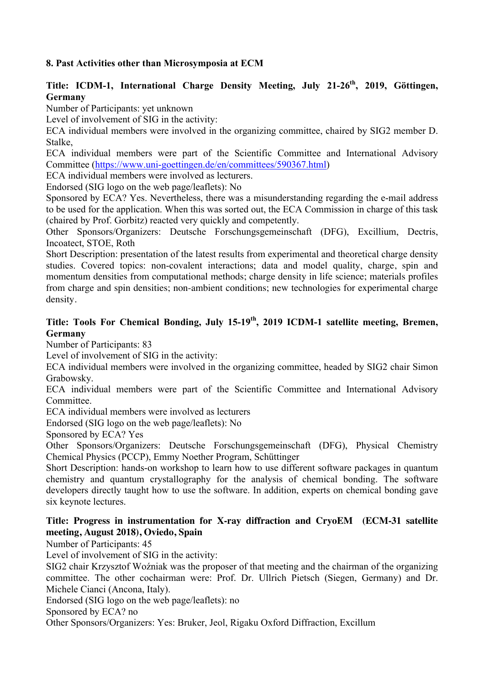# **8. Past Activities other than Microsymposia at ECM**

# Title: ICDM-1, International Charge Density Meeting, July 21-26<sup>th</sup>, 2019, Göttingen, **Germany**

Number of Participants: yet unknown

Level of involvement of SIG in the activity:

ECA individual members were involved in the organizing committee, chaired by SIG2 member D. Stalke,

ECA individual members were part of the Scientific Committee and International Advisory Committee (https://www.uni-goettingen.de/en/committees/590367.html)

ECA individual members were involved as lecturers.

Endorsed (SIG logo on the web page/leaflets): No

Sponsored by ECA? Yes. Nevertheless, there was a misunderstanding regarding the e-mail address to be used for the application. When this was sorted out, the ECA Commission in charge of this task (chaired by Prof. Gorbitz) reacted very quickly and competently.

Other Sponsors/Organizers: Deutsche Forschungsgemeinschaft (DFG), Excillium, Dectris, Incoatect, STOE, Roth

Short Description: presentation of the latest results from experimental and theoretical charge density studies. Covered topics: non-covalent interactions; data and model quality, charge, spin and momentum densities from computational methods; charge density in life science; materials profiles from charge and spin densities; non-ambient conditions; new technologies for experimental charge density.

# Title: Tools For Chemical Bonding, July 15-19<sup>th</sup>, 2019 ICDM-1 satellite meeting, Bremen, **Germany**

Number of Participants: 83

Level of involvement of SIG in the activity:

ECA individual members were involved in the organizing committee, headed by SIG2 chair Simon Grabowsky.

ECA individual members were part of the Scientific Committee and International Advisory **Committee** 

ECA individual members were involved as lecturers

Endorsed (SIG logo on the web page/leaflets): No

Sponsored by ECA? Yes

Other Sponsors/Organizers: Deutsche Forschungsgemeinschaft (DFG), Physical Chemistry Chemical Physics (PCCP), Emmy Noether Program, Schüttinger

Short Description: hands-on workshop to learn how to use different software packages in quantum chemistry and quantum crystallography for the analysis of chemical bonding. The software developers directly taught how to use the software. In addition, experts on chemical bonding gave six keynote lectures.

## **Title: Progress in instrumentation for X-ray diffraction and CryoEM (ECM-31 satellite meeting, August 2018), Oviedo, Spain**

Number of Participants: 45

Level of involvement of SIG in the activity:

SIG2 chair Krzysztof Woźniak was the proposer of that meeting and the chairman of the organizing committee. The other cochairman were: Prof. Dr. Ullrich Pietsch (Siegen, Germany) and Dr. Michele Cianci (Ancona, Italy).

Endorsed (SIG logo on the web page/leaflets): no

Sponsored by ECA? no

Other Sponsors/Organizers: Yes: Bruker, Jeol, Rigaku Oxford Diffraction, Excillum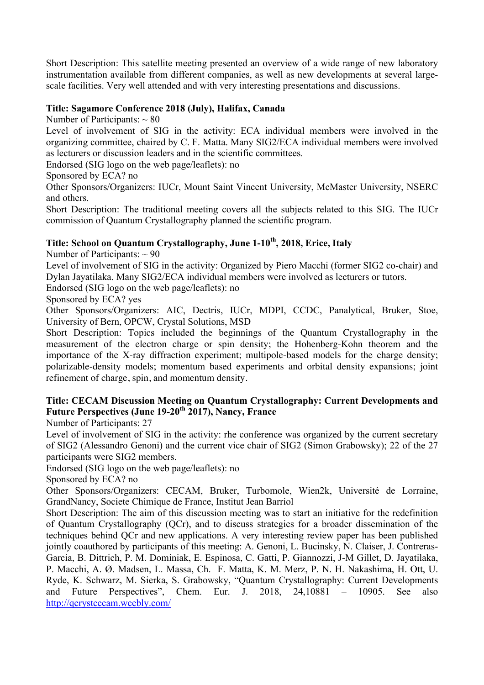Short Description: This satellite meeting presented an overview of a wide range of new laboratory instrumentation available from different companies, as well as new developments at several largescale facilities. Very well attended and with very interesting presentations and discussions.

## **Title: Sagamore Conference 2018 (July), Halifax, Canada**

Number of Participants:  $\sim 80$ 

Level of involvement of SIG in the activity: ECA individual members were involved in the organizing committee, chaired by C. F. Matta. Many SIG2/ECA individual members were involved as lecturers or discussion leaders and in the scientific committees.

Endorsed (SIG logo on the web page/leaflets): no

Sponsored by ECA? no

Other Sponsors/Organizers: IUCr, Mount Saint Vincent University, McMaster University, NSERC and others.

Short Description: The traditional meeting covers all the subjects related to this SIG. The IUCr commission of Quantum Crystallography planned the scientific program.

# Title: School on Quantum Crystallography, June 1-10<sup>th</sup>, 2018, Erice, Italy

Number of Participants:  $\sim$  90

Level of involvement of SIG in the activity: Organized by Piero Macchi (former SIG2 co-chair) and Dylan Jayatilaka. Many SIG2/ECA individual members were involved as lecturers or tutors.

Endorsed (SIG logo on the web page/leaflets): no

Sponsored by ECA? yes

Other Sponsors/Organizers: AIC, Dectris, IUCr, MDPI, CCDC, Panalytical, Bruker, Stoe, University of Bern, OPCW, Crystal Solutions, MSD

Short Description: Topics included the beginnings of the Quantum Crystallography in the measurement of the electron charge or spin density; the Hohenberg-Kohn theorem and the importance of the X-ray diffraction experiment; multipole-based models for the charge density; polarizable-density models; momentum based experiments and orbital density expansions; joint refinement of charge, spin, and momentum density.

# **Title: CECAM Discussion Meeting on Quantum Crystallography: Current Developments and Future Perspectives (June 19-20th 2017), Nancy, France**

Number of Participants: 27

Level of involvement of SIG in the activity: rhe conference was organized by the current secretary of SIG2 (Alessandro Genoni) and the current vice chair of SIG2 (Simon Grabowsky); 22 of the 27 participants were SIG2 members.

Endorsed (SIG logo on the web page/leaflets): no

Sponsored by ECA? no

Other Sponsors/Organizers: CECAM, Bruker, Turbomole, Wien2k, Université de Lorraine, GrandNancy, Societe Chimique de France, Institut Jean Barriol

Short Description: The aim of this discussion meeting was to start an initiative for the redefinition of Quantum Crystallography (QCr), and to discuss strategies for a broader dissemination of the techniques behind QCr and new applications. A very interesting review paper has been published jointly coauthored by participants of this meeting: A. Genoni, L. Bucinsky, N. Claiser, J. Contreras-Garcia, B. Dittrich, P. M. Dominiak, E. Espinosa, C. Gatti, P. Giannozzi, J-M Gillet, D. Jayatilaka, P. Macchi, A. Ø. Madsen, L. Massa, Ch. F. Matta, K. M. Merz, P. N. H. Nakashima, H. Ott, U. Ryde, K. Schwarz, M. Sierka, S. Grabowsky, "Quantum Crystallography: Current Developments and Future Perspectives", Chem. Eur. J. 2018, 24,10881 – 10905. See also http://qcrystcecam.weebly.com/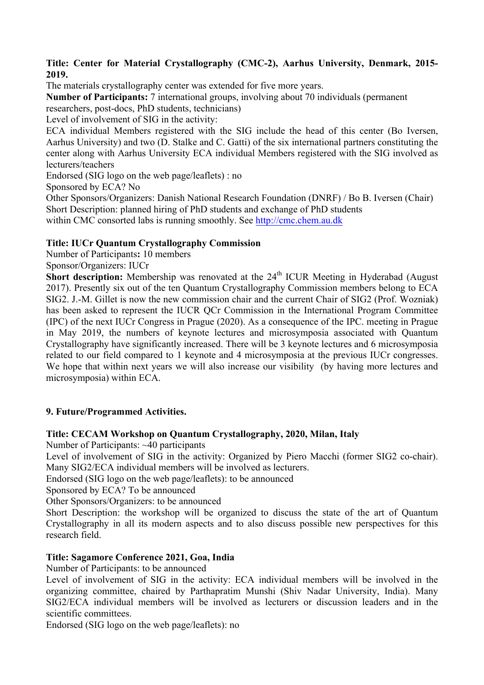## **Title: Center for Material Crystallography (CMC-2), Aarhus University, Denmark, 2015- 2019.**

The materials crystallography center was extended for five more years.

**Number of Participants:** 7 international groups, involving about 70 individuals (permanent researchers, post-docs, PhD students, technicians)

Level of involvement of SIG in the activity:

ECA individual Members registered with the SIG include the head of this center (Bo Iversen, Aarhus University) and two (D. Stalke and C. Gatti) of the six international partners constituting the center along with Aarhus University ECA individual Members registered with the SIG involved as lecturers/teachers

Endorsed (SIG logo on the web page/leaflets) : no

Sponsored by ECA? No

Other Sponsors/Organizers: Danish National Research Foundation (DNRF) / Bo B. Iversen (Chair) Short Description: planned hiring of PhD students and exchange of PhD students within CMC consorted labs is running smoothly. See http://cmc.chem.au.dk

# **Title: IUCr Quantum Crystallography Commission**

Number of Participants**:** 10 members

Sponsor/Organizers: IUCr

**Short description:** Membership was renovated at the 24<sup>th</sup> ICUR Meeting in Hyderabad (August 2017). Presently six out of the ten Quantum Crystallography Commission members belong to ECA SIG2. J.-M. Gillet is now the new commission chair and the current Chair of SIG2 (Prof. Wozniak) has been asked to represent the IUCR QCr Commission in the International Program Committee (IPC) of the next IUCr Congress in Prague (2020). As a consequence of the IPC. meeting in Prague in May 2019, the numbers of keynote lectures and microsymposia associated with Quantum Crystallography have significantly increased. There will be 3 keynote lectures and 6 microsymposia related to our field compared to 1 keynote and 4 microsymposia at the previous IUCr congresses. We hope that within next years we will also increase our visibility (by having more lectures and microsymposia) within ECA.

## **9. Future/Programmed Activities.**

## **Title: CECAM Workshop on Quantum Crystallography, 2020, Milan, Italy**

Number of Participants: ~40 participants

Level of involvement of SIG in the activity: Organized by Piero Macchi (former SIG2 co-chair). Many SIG2/ECA individual members will be involved as lecturers.

Endorsed (SIG logo on the web page/leaflets): to be announced

Sponsored by ECA? To be announced

Other Sponsors/Organizers: to be announced

Short Description: the workshop will be organized to discuss the state of the art of Quantum Crystallography in all its modern aspects and to also discuss possible new perspectives for this research field.

## **Title: Sagamore Conference 2021, Goa, India**

Number of Participants: to be announced

Level of involvement of SIG in the activity: ECA individual members will be involved in the organizing committee, chaired by Parthapratim Munshi (Shiv Nadar University, India). Many SIG2/ECA individual members will be involved as lecturers or discussion leaders and in the scientific committees.

Endorsed (SIG logo on the web page/leaflets): no